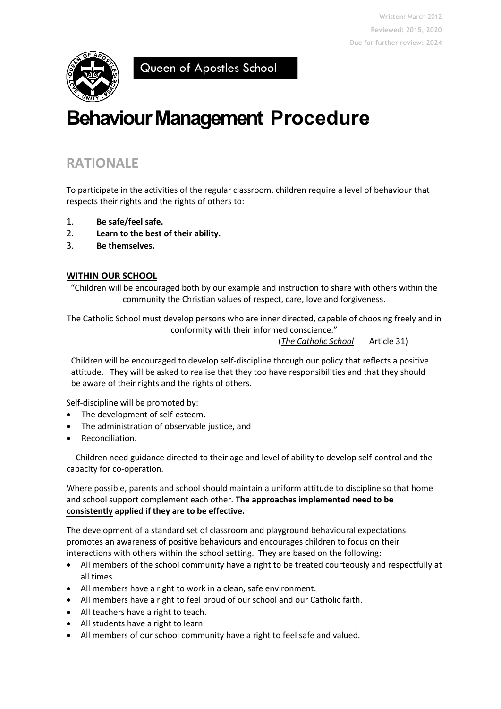

Queen of Apostles School

# **Behaviour Management Procedure**

# **RATIONALE**

To participate in the activities of the regular classroom, children require a level of behaviour that respects their rights and the rights of others to:

- 1. **Be safe/feel safe.**
- 2. **Learn to the best of their ability.**
- 3. **Be themselves.**

#### **WITHIN OUR SCHOOL**

"Children will be encouraged both by our example and instruction to share with others within the community the Christian values of respect, care, love and forgiveness.

The Catholic School must develop persons who are inner directed, capable of choosing freely and in conformity with their informed conscience."

(*The Catholic School* Article 31)

Children will be encouraged to develop self-discipline through our policy that reflects a positive attitude. They will be asked to realise that they too have responsibilities and that they should be aware of their rights and the rights of others.

Self-discipline will be promoted by:

- The development of self-esteem.
- The administration of observable justice, and
- Reconciliation.

Children need guidance directed to their age and level of ability to develop self-control and the capacity for co-operation.

Where possible, parents and school should maintain a uniform attitude to discipline so that home and school support complement each other. **The approaches implemented need to be consistently applied if they are to be effective.** 

The development of a standard set of classroom and playground behavioural expectations promotes an awareness of positive behaviours and encourages children to focus on their interactions with others within the school setting. They are based on the following:

- All members of the school community have a right to be treated courteously and respectfully at all times.
- All members have a right to work in a clean, safe environment.
- All members have a right to feel proud of our school and our Catholic faith.
- All teachers have a right to teach.
- All students have a right to learn.
- All members of our school community have a right to feel safe and valued.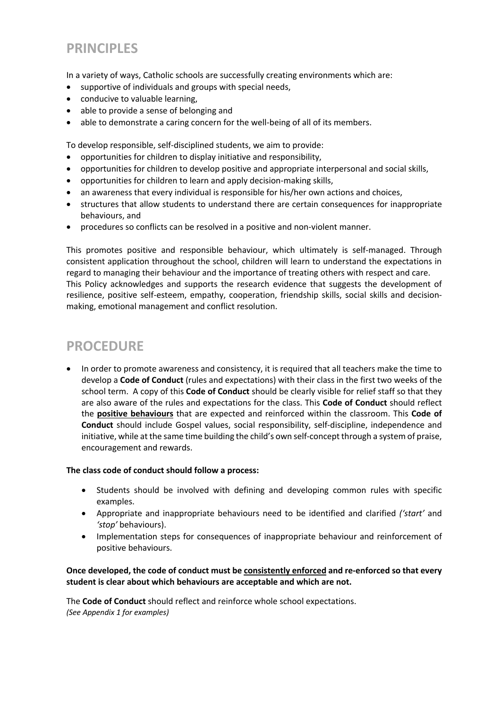# **PRINCIPLES**

In a variety of ways, Catholic schools are successfully creating environments which are:

- supportive of individuals and groups with special needs,
- conducive to valuable learning,
- able to provide a sense of belonging and
- able to demonstrate a caring concern for the well-being of all of its members.

To develop responsible, self-disciplined students, we aim to provide:

- opportunities for children to display initiative and responsibility,
- opportunities for children to develop positive and appropriate interpersonal and social skills,
- opportunities for children to learn and apply decision-making skills,
- an awareness that every individual is responsible for his/her own actions and choices,
- structures that allow students to understand there are certain consequences for inappropriate behaviours, and
- procedures so conflicts can be resolved in a positive and non-violent manner.

This promotes positive and responsible behaviour, which ultimately is self-managed. Through consistent application throughout the school, children will learn to understand the expectations in regard to managing their behaviour and the importance of treating others with respect and care. This Policy acknowledges and supports the research evidence that suggests the development of resilience, positive self-esteem, empathy, cooperation, friendship skills, social skills and decisionmaking, emotional management and conflict resolution.

# **PROCEDURE**

• In order to promote awareness and consistency, it is required that all teachers make the time to develop a **Code of Conduct** (rules and expectations) with their class in the first two weeks of the school term. A copy of this **Code of Conduct** should be clearly visible for relief staff so that they are also aware of the rules and expectations for the class. This **Code of Conduct** should reflect the **positive behaviours** that are expected and reinforced within the classroom. This **Code of Conduct** should include Gospel values, social responsibility, self-discipline, independence and initiative, while at the same time building the child's own self-concept through a system of praise, encouragement and rewards.

#### **The class code of conduct should follow a process:**

- Students should be involved with defining and developing common rules with specific examples.
- Appropriate and inappropriate behaviours need to be identified and clarified *('start'* and *'stop'* behaviours).
- Implementation steps for consequences of inappropriate behaviour and reinforcement of positive behaviours.

#### **Once developed, the code of conduct must be consistently enforced and re-enforced so that every student is clear about which behaviours are acceptable and which are not.**

The **Code of Conduct** should reflect and reinforce whole school expectations. *(See Appendix 1 for examples)*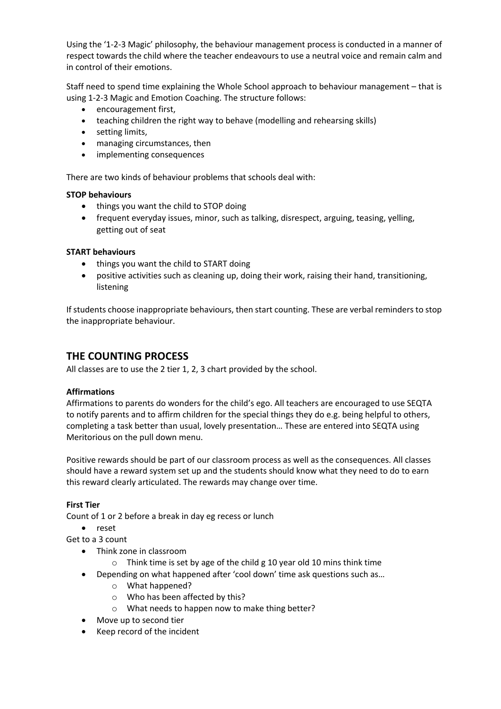Using the '1-2-3 Magic' philosophy, the behaviour management process is conducted in a manner of respect towards the child where the teacher endeavours to use a neutral voice and remain calm and in control of their emotions.

Staff need to spend time explaining the Whole School approach to behaviour management – that is using 1-2-3 Magic and Emotion Coaching. The structure follows:

- encouragement first,
- teaching children the right way to behave (modelling and rehearsing skills)
- setting limits,
- managing circumstances, then
- implementing consequences

There are two kinds of behaviour problems that schools deal with:

#### **STOP behaviours**

- things you want the child to STOP doing
- frequent everyday issues, minor, such as talking, disrespect, arguing, teasing, yelling, getting out of seat

#### **START behaviours**

- things you want the child to START doing
- positive activities such as cleaning up, doing their work, raising their hand, transitioning, listening

If students choose inappropriate behaviours, then start counting. These are verbal reminders to stop the inappropriate behaviour.

### **THE COUNTING PROCESS**

All classes are to use the 2 tier 1, 2, 3 chart provided by the school.

#### **Affirmations**

Affirmations to parents do wonders for the child's ego. All teachers are encouraged to use SEQTA to notify parents and to affirm children for the special things they do e.g. being helpful to others, completing a task better than usual, lovely presentation… These are entered into SEQTA using Meritorious on the pull down menu.

Positive rewards should be part of our classroom process as well as the consequences. All classes should have a reward system set up and the students should know what they need to do to earn this reward clearly articulated. The rewards may change over time.

#### **First Tier**

Count of 1 or 2 before a break in day eg recess or lunch

• reset

Get to a 3 count

- Think zone in classroom
	- o Think time is set by age of the child g 10 year old 10 mins think time
- Depending on what happened after 'cool down' time ask questions such as…
	- o What happened?
	- o Who has been affected by this?
	- o What needs to happen now to make thing better?
- Move up to second tier
- Keep record of the incident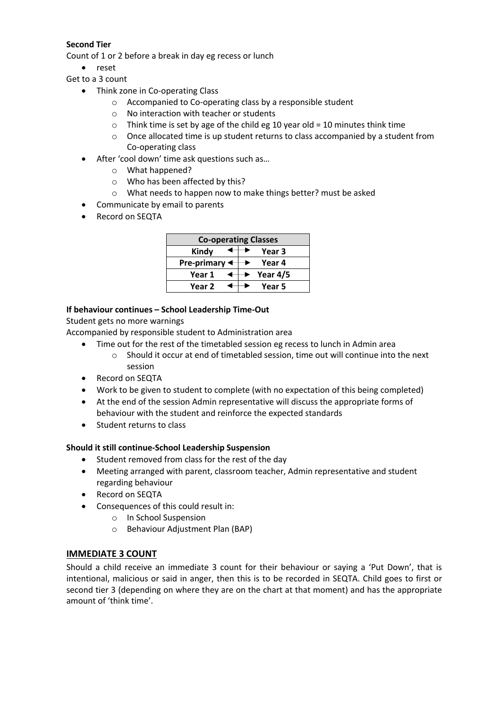#### **Second Tier**

Count of 1 or 2 before a break in day eg recess or lunch

- reset
- Get to a 3 count
	- Think zone in Co-operating Class
		- o Accompanied to Co-operating class by a responsible student
		- o No interaction with teacher or students
		- $\circ$  Think time is set by age of the child eg 10 year old = 10 minutes think time
		- $\circ$  Once allocated time is up student returns to class accompanied by a student from Co-operating class
	- After 'cool down' time ask questions such as...
		- o What happened?
		- o Who has been affected by this?
		- o What needs to happen now to make things better? must be asked
	- Communicate by email to parents
	- Record on SEQTA

| <b>Co-operating Classes</b> |  |  |          |
|-----------------------------|--|--|----------|
| Kindy                       |  |  | Year 3   |
| Pre-primary $\triangleleft$ |  |  | Year 4   |
| Year 1                      |  |  | Year 4/5 |
| Year 2                      |  |  | Year 5   |

#### **If behaviour continues – School Leadership Time-Out**

Student gets no more warnings

Accompanied by responsible student to Administration area

- Time out for the rest of the timetabled session eg recess to lunch in Admin area  $\circ$  Should it occur at end of timetabled session, time out will continue into the next session
- Record on SEQTA
- Work to be given to student to complete (with no expectation of this being completed)
- At the end of the session Admin representative will discuss the appropriate forms of behaviour with the student and reinforce the expected standards
- Student returns to class

#### **Should it still continue-School Leadership Suspension**

- Student removed from class for the rest of the day
- Meeting arranged with parent, classroom teacher, Admin representative and student regarding behaviour
- Record on SEQTA
- Consequences of this could result in:
	- o In School Suspension
	- o Behaviour Adjustment Plan (BAP)

#### **IMMEDIATE 3 COUNT**

Should a child receive an immediate 3 count for their behaviour or saying a 'Put Down', that is intentional, malicious or said in anger, then this is to be recorded in SEQTA. Child goes to first or second tier 3 (depending on where they are on the chart at that moment) and has the appropriate amount of 'think time'.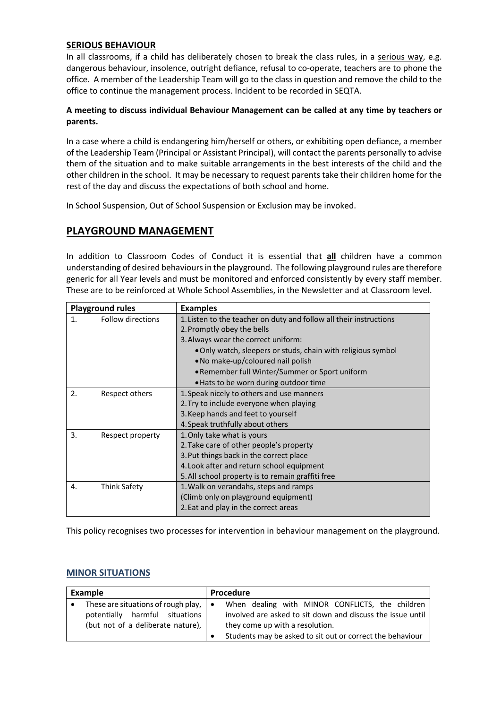#### **SERIOUS BEHAVIOUR**

In all classrooms, if a child has deliberately chosen to break the class rules, in a serious way, e.g. dangerous behaviour, insolence, outright defiance, refusal to co-operate, teachers are to phone the office. A member of the Leadership Team will go to the class in question and remove the child to the office to continue the management process. Incident to be recorded in SEQTA.

#### **A meeting to discuss individual Behaviour Management can be called at any time by teachers or parents.**

In a case where a child is endangering him/herself or others, or exhibiting open defiance, a member of the Leadership Team (Principal or Assistant Principal), will contact the parents personally to advise them of the situation and to make suitable arrangements in the best interests of the child and the other children in the school. It may be necessary to request parents take their children home for the rest of the day and discuss the expectations of both school and home.

In School Suspension, Out of School Suspension or Exclusion may be invoked.

### **PLAYGROUND MANAGEMENT**

In addition to Classroom Codes of Conduct it is essential that **all** children have a common understanding of desired behaviours in the playground. The following playground rules are therefore generic for all Year levels and must be monitored and enforced consistently by every staff member. These are to be reinforced at Whole School Assemblies, in the Newsletter and at Classroom level.

|    | <b>Playground rules</b> | <b>Examples</b>                                                    |
|----|-------------------------|--------------------------------------------------------------------|
| 1. | Follow directions       | 1. Listen to the teacher on duty and follow all their instructions |
|    |                         | 2. Promptly obey the bells                                         |
|    |                         | 3. Always wear the correct uniform:                                |
|    |                         | . Only watch, sleepers or studs, chain with religious symbol       |
|    |                         | • No make-up/coloured nail polish                                  |
|    |                         | • Remember full Winter/Summer or Sport uniform                     |
|    |                         | . Hats to be worn during outdoor time                              |
| 2. | Respect others          | 1. Speak nicely to others and use manners                          |
|    |                         | 2. Try to include everyone when playing                            |
|    |                         | 3. Keep hands and feet to yourself                                 |
|    |                         | 4. Speak truthfully about others                                   |
| 3. | Respect property        | 1. Only take what is yours                                         |
|    |                         | 2. Take care of other people's property                            |
|    |                         | 3. Put things back in the correct place                            |
|    |                         | 4. Look after and return school equipment                          |
|    |                         | 5. All school property is to remain graffiti free                  |
| 4. | <b>Think Safety</b>     | 1. Walk on verandahs, steps and ramps                              |
|    |                         | (Climb only on playground equipment)                               |
|    |                         | 2. Eat and play in the correct areas                               |

This policy recognises two processes for intervention in behaviour management on the playground.

#### **MINOR SITUATIONS**

| Example                                                   | Procedure                                                  |  |  |
|-----------------------------------------------------------|------------------------------------------------------------|--|--|
| These are situations of rough play, $\vert \bullet \vert$ | When dealing with MINOR CONFLICTS, the children            |  |  |
| potentially harmful situations                            | involved are asked to sit down and discuss the issue until |  |  |
| (but not of a deliberate nature),                         | they come up with a resolution.                            |  |  |
|                                                           | Students may be asked to sit out or correct the behaviour  |  |  |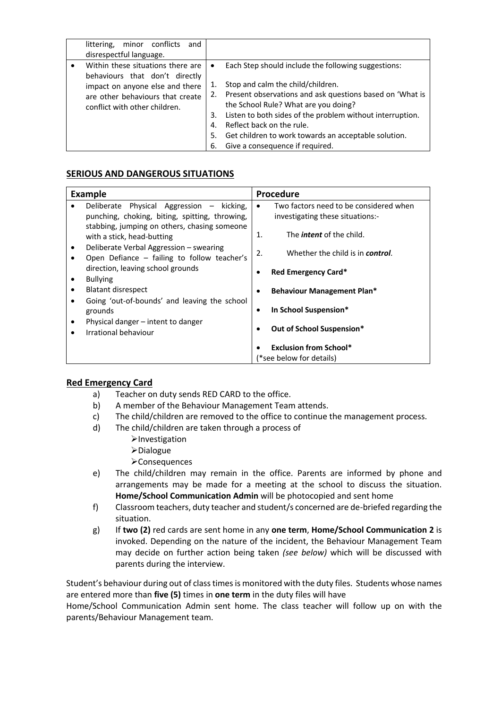| minor conflicts<br>littering,<br>disrespectful language.                                                                                                                    | and                                     |                                                                                                                                                                                                                                                                                                                                                                                   |
|-----------------------------------------------------------------------------------------------------------------------------------------------------------------------------|-----------------------------------------|-----------------------------------------------------------------------------------------------------------------------------------------------------------------------------------------------------------------------------------------------------------------------------------------------------------------------------------------------------------------------------------|
| Within these situations there are<br>behaviours that don't directly<br>impact on anyone else and there<br>are other behaviours that create<br>conflict with other children. | $\bullet$<br>2.<br>3.<br>4.<br>5.<br>6. | Each Step should include the following suggestions:<br>Stop and calm the child/children.<br>Present observations and ask questions based on 'What is<br>the School Rule? What are you doing?<br>Listen to both sides of the problem without interruption.<br>Reflect back on the rule.<br>Get children to work towards an acceptable solution.<br>Give a consequence if required. |

#### **SERIOUS AND DANGEROUS SITUATIONS**

| <b>Example</b> |                                                                                                                       | Procedure |                                          |
|----------------|-----------------------------------------------------------------------------------------------------------------------|-----------|------------------------------------------|
|                | Deliberate Physical Aggression<br>– kicking,                                                                          | $\bullet$ | Two factors need to be considered when   |
|                | punching, choking, biting, spitting, throwing,                                                                        |           | investigating these situations:-         |
|                | stabbing, jumping on others, chasing someone<br>with a stick, head-butting                                            | 1.        | The <i>intent</i> of the child.          |
|                | Deliberate Verbal Aggression – swearing<br>Open Defiance - failing to follow teacher's                                | 2.        | Whether the child is in <b>control</b> . |
|                | direction, leaving school grounds                                                                                     |           | Red Emergency Card*                      |
|                | <b>Bullying</b>                                                                                                       |           |                                          |
|                | <b>Blatant disrespect</b>                                                                                             |           | <b>Behaviour Management Plan*</b>        |
|                | Going 'out-of-bounds' and leaving the school<br>grounds<br>Physical danger – intent to danger<br>Irrational behaviour |           | In School Suspension*                    |
|                |                                                                                                                       |           | Out of School Suspension*                |
|                |                                                                                                                       |           |                                          |
|                |                                                                                                                       |           | <b>Exclusion from School*</b>            |
|                |                                                                                                                       |           | '*see below for details)                 |

#### **Red Emergency Card**

- a) Teacher on duty sends RED CARD to the office.
- b) A member of the Behaviour Management Team attends.
- c) The child/children are removed to the office to continue the management process.
- d) The child/children are taken through a process of
	- $\blacktriangleright$ Investigation
	- ØDialogue
	- ØConsequences
- e) The child/children may remain in the office. Parents are informed by phone and arrangements may be made for a meeting at the school to discuss the situation. **Home/School Communication Admin** will be photocopied and sent home
- f) Classroom teachers, duty teacher and student/s concerned are de-briefed regarding the situation.
- g) If **two (2)** red cards are sent home in any **one term**, **Home/School Communication 2** is invoked. Depending on the nature of the incident, the Behaviour Management Team may decide on further action being taken *(see below)* which will be discussed with parents during the interview.

Student's behaviour during out of class times is monitored with the duty files. Students whose names are entered more than **five (5)** times in **one term** in the duty files will have

Home/School Communication Admin sent home. The class teacher will follow up on with the parents/Behaviour Management team.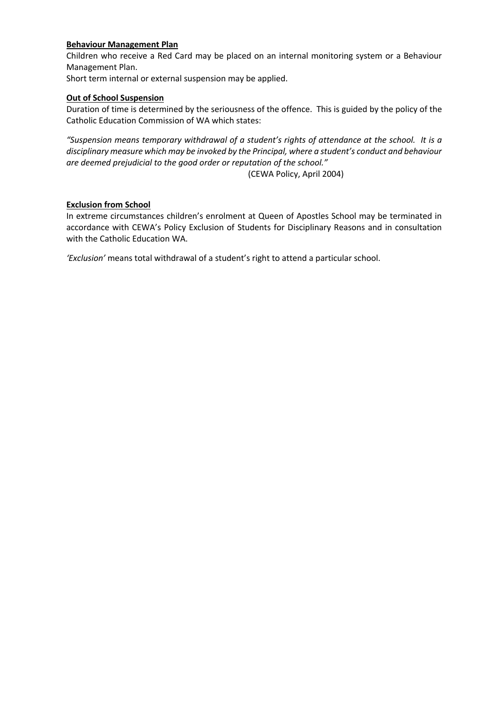#### **Behaviour Management Plan**

Children who receive a Red Card may be placed on an internal monitoring system or a Behaviour Management Plan.

Short term internal or external suspension may be applied.

#### **Out of School Suspension**

Duration of time is determined by the seriousness of the offence. This is guided by the policy of the Catholic Education Commission of WA which states:

*"Suspension means temporary withdrawal of a student's rights of attendance at the school. It is a disciplinary measure which may be invoked by the Principal, where a student's conduct and behaviour are deemed prejudicial to the good order or reputation of the school."*

(CEWA Policy, April 2004)

#### **Exclusion from School**

In extreme circumstances children's enrolment at Queen of Apostles School may be terminated in accordance with CEWA's Policy Exclusion of Students for Disciplinary Reasons and in consultation with the Catholic Education WA.

*'Exclusion'* means total withdrawal of a student's right to attend a particular school.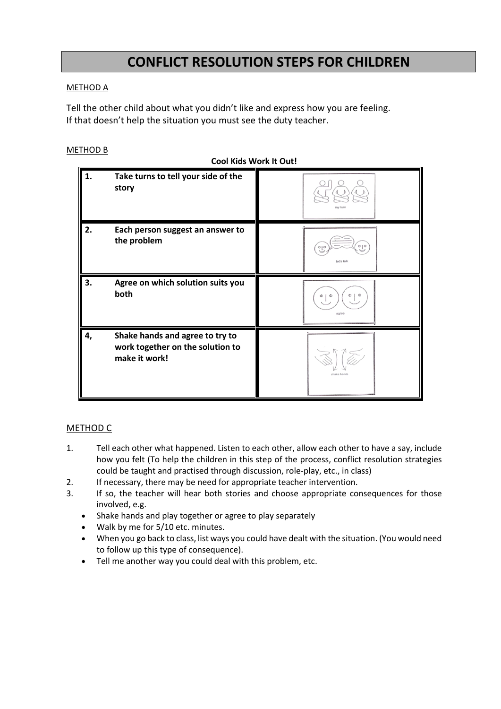# **CONFLICT RESOLUTION STEPS FOR CHILDREN**

#### METHOD A

Tell the other child about what you didn't like and express how you are feeling. If that doesn't help the situation you must see the duty teacher.

#### METHOD B

**Cool Kids Work It Out!**

| 1. | Take turns to tell your side of the<br>story                                         | my turn                       |
|----|--------------------------------------------------------------------------------------|-------------------------------|
| 2. | Each person suggest an answer to<br>the problem                                      | 000<br>let's talk             |
| 3. | Agree on which solution suits you<br>both                                            | O   O<br>$\Phi$<br>Φ<br>agree |
| 4, | Shake hands and agree to try to<br>work together on the solution to<br>make it work! | chake hands                   |

#### METHOD C

- 1. Tell each other what happened. Listen to each other, allow each other to have a say, include how you felt (To help the children in this step of the process, conflict resolution strategies could be taught and practised through discussion, role-play, etc., in class)
- 2. If necessary, there may be need for appropriate teacher intervention.
- 3. If so, the teacher will hear both stories and choose appropriate consequences for those involved, e.g.
	- Shake hands and play together or agree to play separately
	- Walk by me for 5/10 etc. minutes.
	- When you go back to class, list ways you could have dealt with the situation. (You would need to follow up this type of consequence).
	- Tell me another way you could deal with this problem, etc.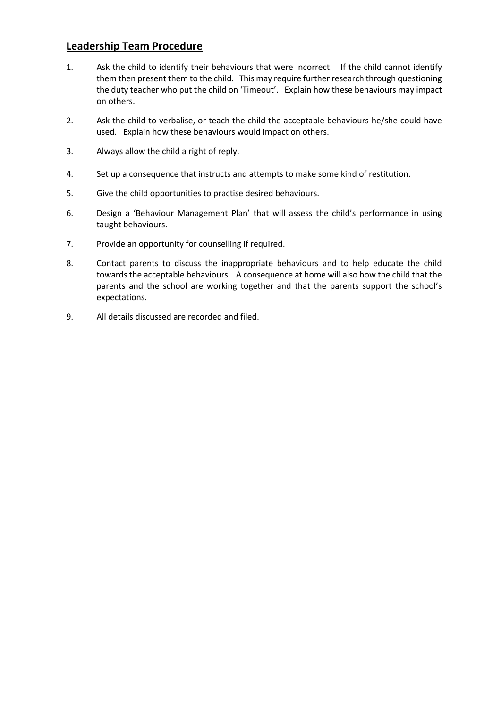### **Leadership Team Procedure**

- 1. Ask the child to identify their behaviours that were incorrect. If the child cannot identify them then present them to the child. This may require further research through questioning the duty teacher who put the child on 'Timeout'. Explain how these behaviours may impact on others.
- 2. Ask the child to verbalise, or teach the child the acceptable behaviours he/she could have used. Explain how these behaviours would impact on others.
- 3. Always allow the child a right of reply.
- 4. Set up a consequence that instructs and attempts to make some kind of restitution.
- 5. Give the child opportunities to practise desired behaviours.
- 6. Design a 'Behaviour Management Plan' that will assess the child's performance in using taught behaviours.
- 7. Provide an opportunity for counselling if required.
- 8. Contact parents to discuss the inappropriate behaviours and to help educate the child towards the acceptable behaviours. A consequence at home will also how the child that the parents and the school are working together and that the parents support the school's expectations.
- 9. All details discussed are recorded and filed.